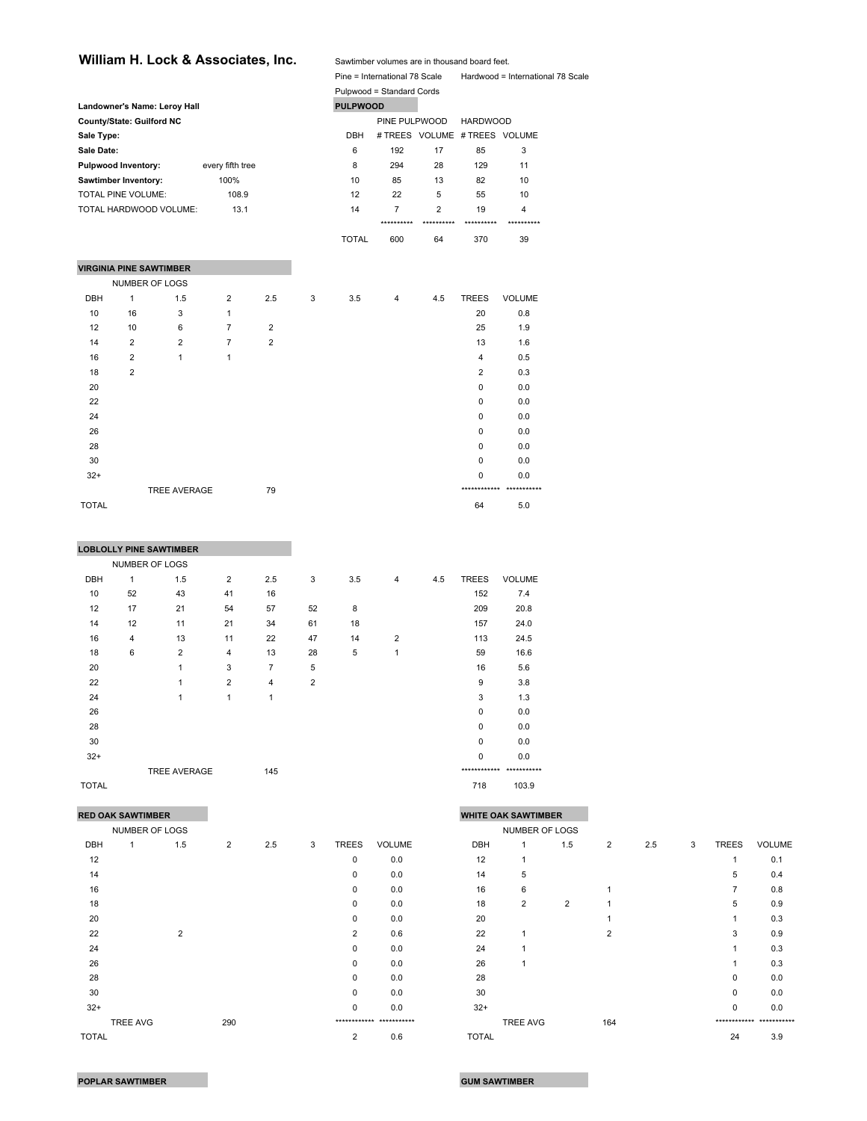## William H. Lock & Associates, Inc. Sawtimber volumes are in thousand board feet.

Pine = International 78 Scale Hardwood = International 78 Scale

|                |                |                                                                                                                                                                                     |                                                     |   |              |                |                 |                                                                             | $r = 1$                       |
|----------------|----------------|-------------------------------------------------------------------------------------------------------------------------------------------------------------------------------------|-----------------------------------------------------|---|--------------|----------------|-----------------|-----------------------------------------------------------------------------|-------------------------------|
|                |                |                                                                                                                                                                                     |                                                     |   |              |                |                 |                                                                             |                               |
|                |                |                                                                                                                                                                                     |                                                     |   |              |                |                 |                                                                             |                               |
|                |                |                                                                                                                                                                                     |                                                     |   |              |                |                 | <b>HARDWOOD</b>                                                             |                               |
| Sale Type:     |                |                                                                                                                                                                                     |                                                     |   | <b>DBH</b>   |                |                 |                                                                             |                               |
| Sale Date:     |                |                                                                                                                                                                                     |                                                     |   | 6            | 192            | 17              | 85                                                                          | 3                             |
|                |                | every fifth tree                                                                                                                                                                    |                                                     |   | 8            | 294            | 28              | 129                                                                         | 11                            |
|                |                | 100%                                                                                                                                                                                |                                                     |   | 10           | 85             | 13              | 82                                                                          | 10                            |
|                |                | 108.9                                                                                                                                                                               |                                                     |   | 12           | 22             | 5               | 55                                                                          | 10                            |
|                |                | 13.1                                                                                                                                                                                |                                                     |   | 14           | $\overline{7}$ | $\overline{2}$  | 19                                                                          | $\overline{4}$                |
|                |                |                                                                                                                                                                                     |                                                     |   |              | **********     | **********      | **********                                                                  | **********                    |
|                |                |                                                                                                                                                                                     |                                                     |   | <b>TOTAL</b> | 600            | 64              | 370                                                                         | 39                            |
|                |                |                                                                                                                                                                                     |                                                     |   |              |                |                 |                                                                             |                               |
|                |                |                                                                                                                                                                                     |                                                     |   |              |                |                 |                                                                             |                               |
|                |                |                                                                                                                                                                                     |                                                     |   |              |                |                 |                                                                             |                               |
| 1              | 1.5            | $\overline{2}$                                                                                                                                                                      | 2.5                                                 | 3 | 3.5          | $\overline{4}$ | 4.5             | <b>TREES</b>                                                                | <b>VOLUME</b>                 |
| 16             | 3              | 1                                                                                                                                                                                   |                                                     |   |              |                |                 | 20                                                                          | 0.8                           |
| 10             | 6              | $\overline{7}$                                                                                                                                                                      | $\overline{2}$                                      |   |              |                |                 | 25                                                                          | 1.9                           |
| $\overline{2}$ | $\overline{2}$ | $\overline{7}$                                                                                                                                                                      | $\overline{2}$                                      |   |              |                |                 | 13                                                                          | 1.6                           |
| $\overline{2}$ | 1              | 1                                                                                                                                                                                   |                                                     |   |              |                |                 | $\overline{4}$                                                              | 0.5                           |
| $\overline{2}$ |                |                                                                                                                                                                                     |                                                     |   |              |                |                 | 2                                                                           | 0.3                           |
|                |                |                                                                                                                                                                                     |                                                     |   |              |                |                 | $\Omega$                                                                    | 0.0                           |
|                |                |                                                                                                                                                                                     |                                                     |   |              |                |                 | 0                                                                           | 0.0                           |
|                |                |                                                                                                                                                                                     |                                                     |   |              |                |                 | $\Omega$                                                                    | 0.0                           |
|                |                |                                                                                                                                                                                     |                                                     |   |              |                |                 | 0                                                                           | 0.0                           |
|                |                |                                                                                                                                                                                     |                                                     |   |              |                |                 | $\Omega$                                                                    | 0.0                           |
|                |                |                                                                                                                                                                                     |                                                     |   |              |                |                 | 0                                                                           | 0.0                           |
|                |                |                                                                                                                                                                                     |                                                     |   |              |                |                 | 0                                                                           | 0.0                           |
|                |                |                                                                                                                                                                                     | 79                                                  |   |              |                |                 |                                                                             | ************ ***********      |
|                |                | County/State: Guilford NC<br><b>Pulpwood Inventory:</b><br>Sawtimber Inventory:<br>TOTAL PINE VOLUME:<br>TOTAL HARDWOOD VOLUME:<br><b>VIRGINIA PINE SAWTIMBER</b><br>NUMBER OF LOGS | Landowner's Name: Leroy Hall<br><b>TREE AVERAGE</b> |   |              |                | <b>PULPWOOD</b> | Fire - international 70 Scale<br>Pulpwood = Standard Cords<br>PINE PULPWOOD | # TREES VOLUME # TREES VOLUME |

|            |                | <b>LOBLOLLY PINE SAWTIMBER</b> |                |                |                |     |                |     |                          |               |
|------------|----------------|--------------------------------|----------------|----------------|----------------|-----|----------------|-----|--------------------------|---------------|
|            |                | NUMBER OF LOGS                 |                |                |                |     |                |     |                          |               |
| <b>DBH</b> | 1              | 1.5                            | $\overline{2}$ | 2.5            | 3              | 3.5 | $\overline{4}$ | 4.5 | <b>TREES</b>             | <b>VOLUME</b> |
| 10         | 52             | 43                             | 41             | 16             |                |     |                |     | 152                      | 7.4           |
| 12         | 17             | 21                             | 54             | 57             | 52             | 8   |                |     | 209                      | 20.8          |
| 14         | 12             | 11                             | 21             | 34             | 61             | 18  |                |     | 157                      | 24.0          |
| 16         | $\overline{4}$ | 13                             | 11             | 22             | 47             | 14  | $\overline{2}$ |     | 113                      | 24.5          |
| 18         | $\,6\,$        | $\overline{2}$                 | 4              | 13             | 28             | 5   | 1              |     | 59                       | 16.6          |
| 20         |                | $\mathbf{1}$                   | 3              | $\overline{7}$ | 5              |     |                |     | 16                       | 5.6           |
| 22         |                | $\mathbf{1}$                   | $\overline{2}$ | 4              | $\overline{2}$ |     |                |     | 9                        | 3.8           |
| 24         |                | $\mathbf{1}$                   | 1              | 1              |                |     |                |     | 3                        | 1.3           |
| 26         |                |                                |                |                |                |     |                |     | $\Omega$                 | 0.0           |
| 28         |                |                                |                |                |                |     |                |     | 0                        | 0.0           |
| 30         |                |                                |                |                |                |     |                |     | $\mathbf 0$              | 0.0           |
| $32+$      |                |                                |                |                |                |     |                |     | 0                        | 0.0           |
|            |                | <b>TREE AVERAGE</b>            |                | 145            |                |     |                |     | ************ *********** |               |

 $\blacksquare$  TOTAL 64 5.0

 $\blacksquare$   $\blacksquare$   $\blacksquare$   $\blacksquare$   $\blacksquare$   $\blacksquare$   $\blacksquare$   $\blacksquare$   $\blacksquare$   $\blacksquare$   $\blacksquare$   $\blacksquare$   $\blacksquare$   $\blacksquare$   $\blacksquare$   $\blacksquare$   $\blacksquare$   $\blacksquare$   $\blacksquare$   $\blacksquare$   $\blacksquare$   $\blacksquare$   $\blacksquare$   $\blacksquare$   $\blacksquare$   $\blacksquare$   $\blacksquare$   $\blacksquare$   $\blacksquare$   $\blacksquare$   $\blacksquare$   $\blacks$ 

**Contract Contract** 

|              | <b>RED OAK SAWTIMBER</b> |                |     |   |                |                          | <b>WHITE OAK SAWTIMBER</b> |                |                |                |     |   |                |                          |
|--------------|--------------------------|----------------|-----|---|----------------|--------------------------|----------------------------|----------------|----------------|----------------|-----|---|----------------|--------------------------|
|              | NUMBER OF LOGS           |                |     |   |                |                          |                            | NUMBER OF LOGS |                |                |     |   |                |                          |
| DBH          | 1.5                      | $\overline{2}$ | 2.5 | 3 | <b>TREES</b>   | <b>VOLUME</b>            | DBH                        |                | 1.5            | $\overline{2}$ | 2.5 | 3 | <b>TREES</b>   | <b>VOLUME</b>            |
| 12           |                          |                |     |   | 0              | 0.0                      | 12                         |                |                |                |     |   | $\mathbf 1$    | 0.1                      |
| 14           |                          |                |     |   | $\Omega$       | 0.0                      | 14                         | 5              |                |                |     |   | 5              | 0.4                      |
| 16           |                          |                |     |   | 0              | 0.0                      | 16                         | 6              |                |                |     |   | $\overline{7}$ | 0.8                      |
| 18           |                          |                |     |   | 0              | 0.0                      | 18                         | $\overline{2}$ | $\overline{2}$ |                |     |   | 5              | 0.9                      |
| 20           |                          |                |     |   | 0              | 0.0                      | 20                         |                |                |                |     |   |                | 0.3                      |
| 22           | $\overline{2}$           |                |     |   | $\overline{2}$ | 0.6                      | 22                         |                |                | $\overline{2}$ |     |   | 3              | 0.9                      |
| 24           |                          |                |     |   | 0              | 0.0                      | 24                         |                |                |                |     |   |                | 0.3                      |
| 26           |                          |                |     |   | 0              | 0.0                      | 26                         |                |                |                |     |   |                | 0.3                      |
| 28           |                          |                |     |   | 0              | 0.0                      | 28                         |                |                |                |     |   | $\mathbf 0$    | 0.0                      |
| 30           |                          |                |     |   | 0              | 0.0                      | 30                         |                |                |                |     |   | 0              | 0.0                      |
| $32+$        |                          |                |     |   | 0              | 0.0                      | $32+$                      |                |                |                |     |   | $\mathbf 0$    | 0.0                      |
|              | TREE AVG                 | 290            |     |   |                | ************ *********** |                            | TREE AVG       |                | 164            |     |   |                | ************ *********** |
| <b>TOTAL</b> |                          |                |     |   | $\mathcal{P}$  | 06                       | <b>TOTAL</b>               |                |                |                |     |   | 24             | 39                       |

|            | <b>RED OAK SAWTIMBER</b> |                |                |     |   |                |                          |              | <b>WHITE OAK SAWTIMBER</b> |                |                |     |   |              |                          |
|------------|--------------------------|----------------|----------------|-----|---|----------------|--------------------------|--------------|----------------------------|----------------|----------------|-----|---|--------------|--------------------------|
|            | NUMBER OF LOGS           |                |                |     |   |                |                          |              | NUMBER OF LOGS             |                |                |     |   |              |                          |
| <b>DBH</b> |                          | 1.5            | $\overline{2}$ | 2.5 | 3 | <b>TREES</b>   | <b>VOLUME</b>            | DBH          | 1                          | 1.5            | $\overline{2}$ | 2.5 | 3 | <b>TREES</b> | <b>VOLUME</b>            |
| 12         |                          |                |                |     |   | 0              | 0.0                      | 12           |                            |                |                |     |   |              | 0.1                      |
| 14         |                          |                |                |     |   | $\Omega$       | 0.0                      | 14           | 5                          |                |                |     |   | 5            | 0.4                      |
| 16         |                          |                |                |     |   | $\mathbf 0$    | 0.0                      | 16           | 6                          |                |                |     |   | 7            | 0.8                      |
| 18         |                          |                |                |     |   | $\Omega$       | 0.0                      | 18           | $\overline{2}$             | $\overline{2}$ |                |     |   | 5            | 0.9                      |
| 20         |                          |                |                |     |   | $\Omega$       | 0.0                      | 20           |                            |                |                |     |   |              | 0.3                      |
| 22         |                          | $\overline{2}$ |                |     |   | 2              | 0.6                      | 22           |                            |                | 2              |     |   | 3            | 0.9                      |
| 24         |                          |                |                |     |   | $\mathbf 0$    | 0.0                      | 24           |                            |                |                |     |   |              | 0.3                      |
| 26         |                          |                |                |     |   | $\Omega$       | 0.0                      | 26           |                            |                |                |     |   |              | 0.3                      |
| 28         |                          |                |                |     |   | $\Omega$       | 0.0                      | 28           |                            |                |                |     |   | 0            | 0.0                      |
| 30         |                          |                |                |     |   | $\mathbf 0$    | 0.0                      | 30           |                            |                |                |     |   | 0            | 0.0                      |
| $32+$      |                          |                |                |     |   | $\mathbf 0$    | 0.0                      | $32+$        |                            |                |                |     |   | 0            | 0.0                      |
|            | TREE AVG                 |                | 290            |     |   |                | ************ *********** |              | <b>TREE AVG</b>            |                | 164            |     |   |              | ************ *********** |
| TOTAL      |                          |                |                |     |   | $\overline{2}$ | 0.6                      | <b>TOTAL</b> |                            |                |                |     |   | 24           | 3.9                      |
|            |                          |                |                |     |   |                |                          |              |                            |                |                |     |   |              |                          |